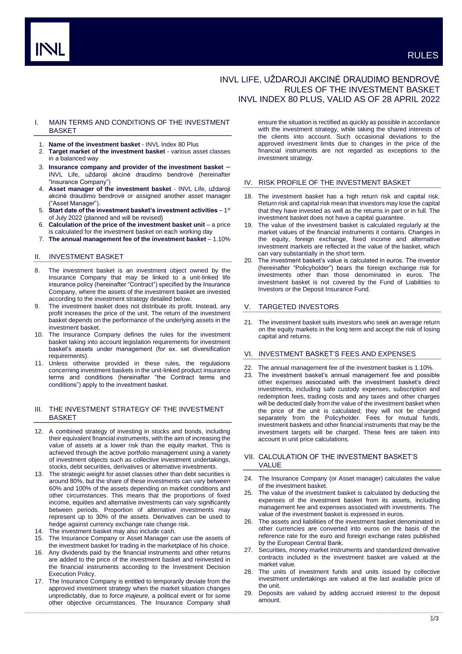# INVL LIFE, UŽDAROJI AKCINĖ DRAUDIMO BENDROVĖ RULES OF THE INVESTMENT BASKET INVL INDEX 80 PLUS, VALID AS OF 28 APRIL 2022

# I. MAIN TERMS AND CONDITIONS OF THE INVESTMENT **BASKET**

- 1. **Name of the investment basket** INVL Index 80 Plus
- 2. **Target market of the investment basket** various asset classes in a balanced way
- 3. **Insurance company and provider of the investment basket** INVL Life, uždaroji akcinė draudimo bendrovė (hereinafter "Insurance Company")
- 4. **Asset manager of the investment basket** INVL Life, uždaroji akcinė draudimo bendrovė or assigned another asset manager ("Asset Manager").
- 5. Start date of the investment basket's investment activities 1<sup>st</sup> of July 2022 (planned and will be revised)
- 6. **Calculation of the price of the investment basket unit**  a price is calculated for the investment basket on each working day
- 7. **The annual management fee of the investment basket** 1.10%

# II. INVESTMENT BASKET

- 8. The investment basket is an investment object owned by the Insurance Company that may be linked to a unit-linked life insurance policy (hereinafter "Contract") specified by the Insurance Company, where the assets of the investment basket are invested according to the investment strategy detailed below.
- 9. The investment basket does not distribute its profit. Instead, any profit increases the price of the unit. The return of the investment basket depends on the performance of the underlying assets in the investment basket.
- 10. The Insurance Company defines the rules for the investment basket taking into account legislation requirements for investment basket's assets under management (for ex. set diversification requirements).
- 11. Unless otherwise provided in these rules, the regulations concerning investment baskets in the unit-linked product insurance terms and conditions (hereinafter "the Contract terms and conditions") apply to the investment basket.

# III. THE INVESTMENT STRATEGY OF THE INVESTMENT BASKET

- 12. A combined strategy of investing in stocks and bonds, including their equivalent financial instruments, with the aim of increasing the value of assets at a lower risk than the equity market. This is achieved through the active portfolio management using a variety of investment objects such as collective investment undertakings, stocks, debt securities, derivatives or alternative investments.
- 13. The strategic weight for asset classes other than debt securities is around 80%, but the share of these investments can vary between 60% and 100% of the assets depending on market conditions and other circumstances. This means that the proportions of fixed income, equities and alternative investments can vary significantly between periods. Proportion of alternative investments may represent up to 30% of the assets. Derivatives can be used to hedge against currency exchange rate change risk.
- 14. The investment basket may also include cash.
- 15. The Insurance Company or Asset Manager can use the assets of the investment basket for trading in the marketplace of his choice.
- 16. Any dividends paid by the financial instruments and other returns are added to the price of the investment basket and reinvested in the financial instruments according to the Investment Decision Execution Policy.
- 17. The Insurance Company is entitled to temporarily deviate from the approved investment strategy when the market situation changes unpredictably, due to *force majeure,* a political event or for some other objective circumstances. The Insurance Company shall

ensure the situation is rectified as quickly as possible in accordance with the investment strategy, while taking the shared interests of the clients into account. Such occasional deviations to the approved investment limits due to changes in the price of the financial instruments are not regarded as exceptions to the investment strategy.

### IV. RISK PROFILE OF THE INVESTMENT BASKET

- 18. The investment basket has a high return risk and capital risk. Return risk and capital risk mean that investors may lose the capital that they have invested as well as the returns in part or in full. The investment basket does not have a capital guarantee.
- 19. The value of the investment basket is calculated regularly at the market values of the financial instruments it contains. Changes in the equity, foreign exchange, fixed income and alternative investment markets are reflected in the value of the basket, which can vary substantially in the short term.
- 20. The investment basket's value is calculated in euros. The investor (hereinafter "Policyholder") bears the foreign exchange risk for investments other than those denominated in euros. The investment basket is not covered by the Fund of Liabilities to Investors or the Deposit Insurance Fund.

### **TARGETED INVESTORS**

21. The investment basket suits investors who seek an average return on the equity markets in the long term and accept the risk of losing capital and returns.

# VI. INVESTMENT BASKET'S FEES AND EXPENSES

- 22. The annual management fee of the investment basket is 1.10%.
- 23. The investment basket's annual management fee and possible other expenses associated with the investment basket's direct investments, including safe custody expenses, subscription and redemption fees, trading costs and any taxes and other charges will be deducted daily from the value of the investment basket when the price of the unit is calculated; they will not be charged separately from the Policyholder. Fees for mutual funds, investment baskets and other financial instruments that may be the investment targets will be charged. These fees are taken into account in unit price calculations.

### VII. CALCULATION OF THE INVESTMENT BASKET'S VALUE

- 24. The Insurance Company (or Asset manager) calculates the value of the investment basket.
- The value of the investment basket is calculated by deducting the expenses of the investment basket from its assets, including management fee and expenses associated with investments. The value of the investment basket is expressed in euros.
- 26. The assets and liabilities of the investment basket denominated in other currencies are converted into euros on the basis of the reference rate for the euro and foreign exchange rates published by the European Central Bank.
- 27. Securities, money market instruments and standardized derivative contracts included in the investment basket are valued at the market value.
- The units of investment funds and units issued by collective investment undertakings are valued at the last available price of the unit.
- 29. Deposits are valued by adding accrued interest to the deposit amount.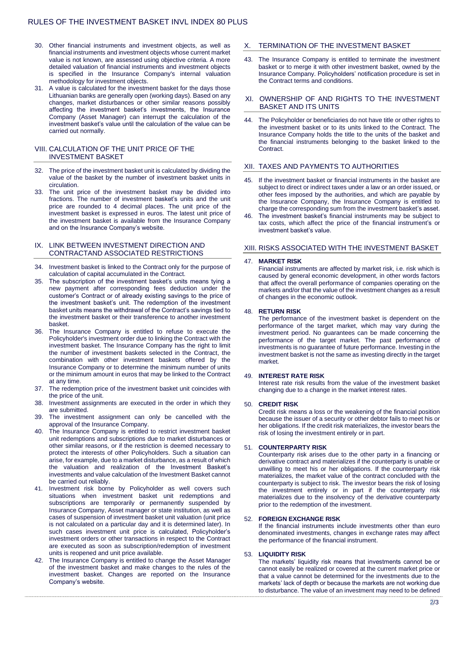- 30. Other financial instruments and investment objects, as well as financial instruments and investment objects whose current market value is not known, are assessed using objective criteria. A more detailed valuation of financial instruments and investment objects is specified in the Insurance Company's internal valuation methodology for investment objects.
- 31. A value is calculated for the investment basket for the days those Lithuanian banks are generally open (working days). Based on any changes, market disturbances or other similar reasons possibly affecting the investment basket's investments, the Insurance Company (Asset Manager) can interrupt the calculation of the investment basket's value until the calculation of the value can be carried out normally.

# VIII. CALCULATION OF THE UNIT PRICE OF THE INVESTMENT BASKET

- 32. The price of the investment basket unit is calculated by dividing the value of the basket by the number of investment basket units in circulation.
- 33. The unit price of the investment basket may be divided into fractions. The number of investment basket's units and the unit price are rounded to 4 decimal places. The unit price of the investment basket is expressed in euros. The latest unit price of the investment basket is available from the Insurance Company and on the Insurance Company's website.

### IX. LINK BETWEEN INVESTMENT DIRECTION AND CONTRACTAND ASSOCIATED RESTRICTIONS

- 34. Investment basket is linked to the Contract only for the purpose of calculation of capital accumulated in the Contract.
- The subscription of the investment basket's units means tying a new payment after corresponding fees deduction under the customer's Contract or of already existing savings to the price of the investment basket's unit. The redemption of the investment basket units means the withdrawal of the Contract's savings tied to the investment basket or their transference to another investment basket.
- 36. The Insurance Company is entitled to refuse to execute the Policyholder's investment order due to linking the Contract with the investment basket. The Insurance Company has the right to limit the number of investment baskets selected in the Contract, the combination with other investment baskets offered by the Insurance Company or to determine the minimum number of units or the minimum amount in euros that may be linked to the Contract at any time.
- 37. The redemption price of the investment basket unit coincides with the price of the unit.
- 38. Investment assignments are executed in the order in which they are submitted.
- 39. The investment assignment can only be cancelled with the approval of the Insurance Company.
- 40. The Insurance Company is entitled to restrict investment basket unit redemptions and subscriptions due to market disturbances or other similar reasons, or if the restriction is deemed necessary to protect the interests of other Policyholders. Such a situation can arise, for example, due to a market disturbance, as a result of which the valuation and realization of the Investment Basket's investments and value calculation of the Investment Basket cannot be carried out reliably.
- 41. Investment risk borne by Policyholder as well covers such situations when investment basket unit redemptions and subscriptions are temporarily or permanently suspended by Insurance Company, Asset manager or state institution, as well as cases of suspension of investment basket unit valuation (unit price is not calculated on a particular day and it is determined later). In such cases investment unit price is calculated, Policyholder's investment orders or other transactions in respect to the Contract are executed as soon as subscription/redemption of investment units is reopened and unit price available.
- 42. The Insurance Company is entitled to change the Asset Manager of the investment basket and make changes to the rules of the investment basket. Changes are reported on the Insurance Company's website.

# X. TERMINATION OF THE INVESTMENT BASKET

43. The Insurance Company is entitled to terminate the investment basket or to merge it with other investment basket, owned by the Insurance Company. Policyholders' notification procedure is set in the Contract terms and conditions.

### XI. OWNERSHIP OF AND RIGHTS TO THE INVESTMENT BASKET AND ITS UNITS

44. The Policyholder or beneficiaries do not have title or other rights to the investment basket or to its units linked to the Contract. The Insurance Company holds the title to the units of the basket and the financial instruments belonging to the basket linked to the Contract.

# XII. TAXES AND PAYMENTS TO AUTHORITIES

- 45. If the investment basket or financial instruments in the basket are subject to direct or indirect taxes under a law or an order issued, or other fees imposed by the authorities, and which are payable by the Insurance Company, the Insurance Company is entitled to charge the corresponding sum from the investment basket's asset.
- The investment basket's financial instruments may be subject to tax costs, which affect the price of the financial instrument's or investment basket's value.

#### XIII. RISKS ASSOCIATED WITH THE INVESTMENT BASKET

#### 47. **MARKET RISK**

Financial instruments are affected by market risk, i.e. risk which is caused by general economic development, in other words factors that affect the overall performance of companies operating on the markets and/or that the value of the investment changes as a result of changes in the economic outlook.

#### 48. **RETURN RISK**

The performance of the investment basket is dependent on the performance of the target market, which may vary during the investment period. No guarantees can be made concerning the performance of the target market. The past performance of investments is no guarantee of future performance. Investing in the investment basket is not the same as investing directly in the target market.

### 49. **INTEREST RATE RISK**

Interest rate risk results from the value of the investment basket changing due to a change in the market interest rates.

### 50. **CREDIT RISK**

Credit risk means a loss or the weakening of the financial position because the issuer of a security or other debtor fails to meet his or her obligations. If the credit risk materializes, the investor bears the risk of losing the investment entirely or in part.

### 51. **COUNTERPARTY RISK**

Counterparty risk arises due to the other party in a financing or derivative contract and materializes if the counterparty is unable or unwilling to meet his or her obligations. If the counterparty risk materializes, the market value of the contract concluded with the counterparty is subject to risk. The investor bears the risk of losing the investment entirely or in part if the counterparty risk materializes due to the insolvency of the derivative counterparty prior to the redemption of the investment.

#### 52. **FOREIGN EXCHANGE RISK**

If the financial instruments include investments other than euro denominated investments, changes in exchange rates may affect the performance of the financial instrument.

#### 53. **LIQUIDITY RISK**

The markets' liquidity risk means that investments cannot be or cannot easily be realized or covered at the current market price or that a value cannot be determined for the investments due to the markets' lack of depth or because the markets are not working due to disturbance. The value of an investment may need to be defined